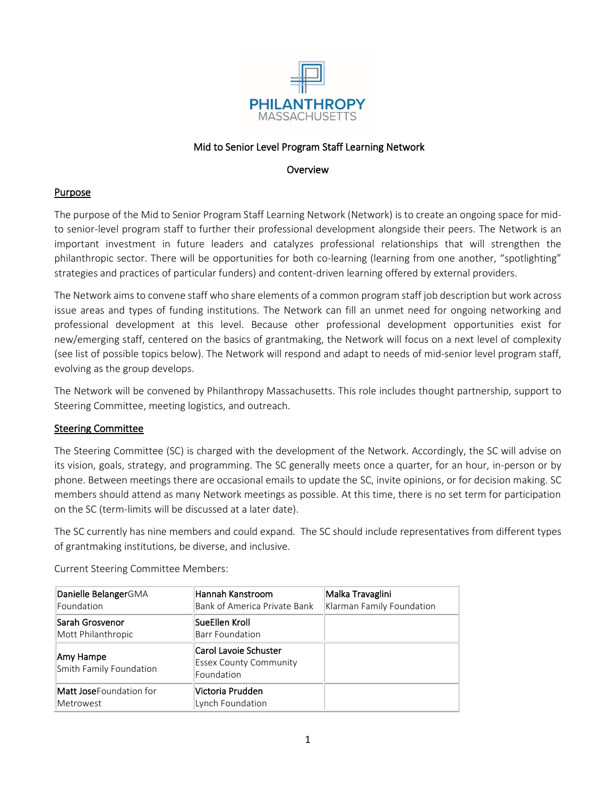

# Mid to Senior Level Program Staff Learning Network

#### **Overview**

# **Purpose**

The purpose of the Mid to Senior Program Staff Learning Network (Network) is to create an ongoing space for midto senior-level program staff to further their professional development alongside their peers. The Network is an important investment in future leaders and catalyzes professional relationships that will strengthen the philanthropic sector. There will be opportunities for both co-learning (learning from one another, "spotlighting" strategies and practices of particular funders) and content-driven learning offered by external providers.

The Network aims to convene staff who share elements of a common program staff job description but work across issue areas and types of funding institutions. The Network can fill an unmet need for ongoing networking and professional development at this level. Because other professional development opportunities exist for new/emerging staff, centered on the basics of grantmaking, the Network will focus on a next level of complexity (see list of possible topics below). The Network will respond and adapt to needs of mid-senior level program staff, evolving as the group develops.

The Network will be convened by Philanthropy Massachusetts. This role includes thought partnership, support to Steering Committee, meeting logistics, and outreach.

# Steering Committee

The Steering Committee (SC) is charged with the development of the Network. Accordingly, the SC will advise on its vision, goals, strategy, and programming. The SC generally meets once a quarter, for an hour, in-person or by phone. Between meetings there are occasional emails to update the SC, invite opinions, or for decision making. SC members should attend as many Network meetings as possible. At this time, there is no set term for participation on the SC (term-limits will be discussed at a later date).

The SC currently has nine members and could expand. The SC should include representatives from different types of grantmaking institutions, be diverse, and inclusive.

| Danielle BelangerGMA<br>Foundation           | Hannah Kanstroom<br>Bank of America Private Bank                     | Malka Travaglini<br>Klarman Family Foundation |
|----------------------------------------------|----------------------------------------------------------------------|-----------------------------------------------|
| Sarah Grosvenor<br>Mott Philanthropic        | SueEllen Kroll<br>Barr Foundation                                    |                                               |
| Amy Hampe<br>Smith Family Foundation         | Carol Lavoie Schuster<br><b>Essex County Community</b><br>Foundation |                                               |
| <b>Matt Jose</b> Foundation for<br>Metrowest | Victoria Prudden<br>Lynch Foundation                                 |                                               |

Current Steering Committee Members: